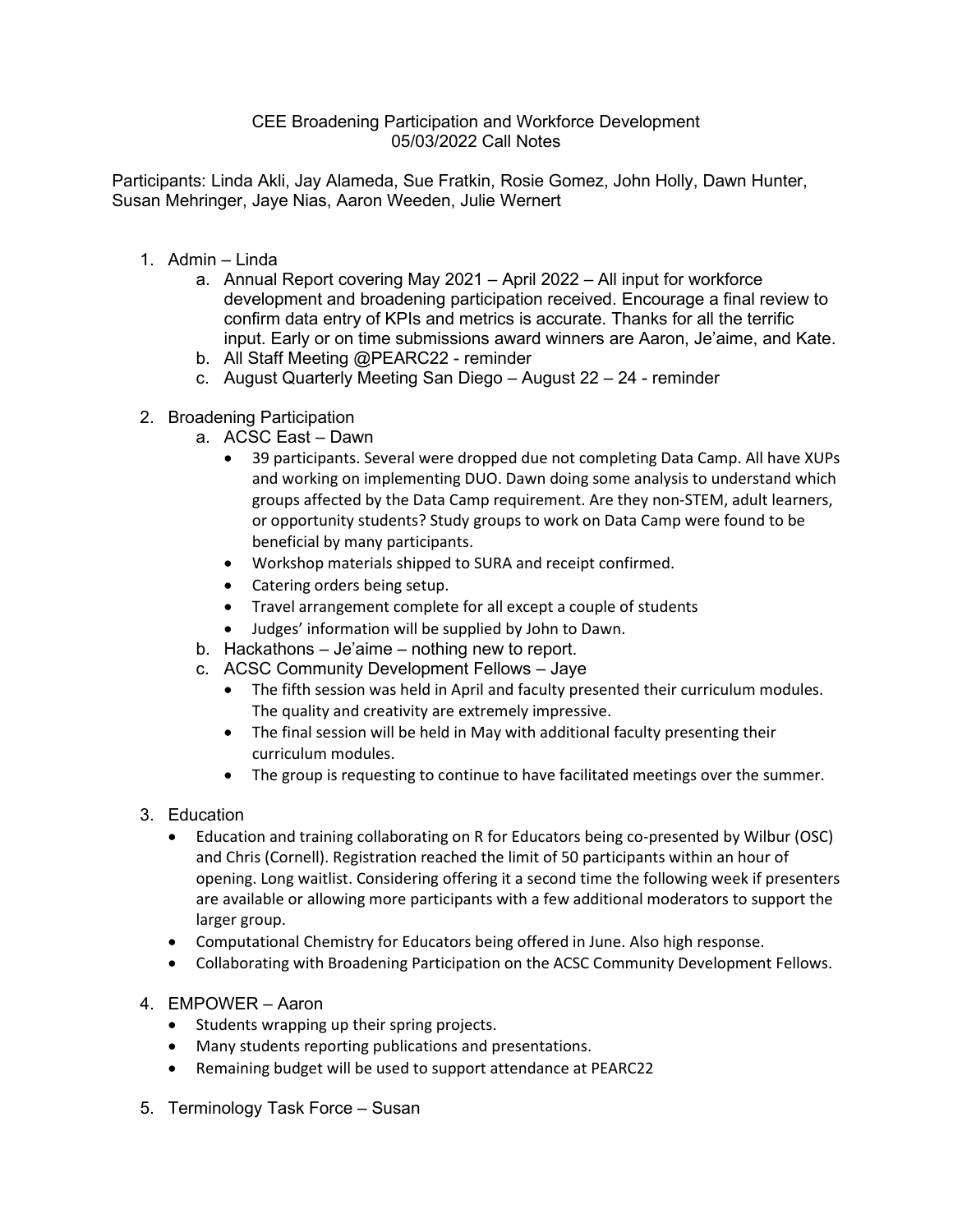## CEE Broadening Participation and Workforce Development 05/03/2022 Call Notes

Participants: Linda Akli, Jay Alameda, Sue Fratkin, Rosie Gomez, John Holly, Dawn Hunter, Susan Mehringer, Jaye Nias, Aaron Weeden, Julie Wernert

- 1. Admin Linda
	- a. Annual Report covering May 2021 April 2022 All input for workforce development and broadening participation received. Encourage a final review to confirm data entry of KPIs and metrics is accurate. Thanks for all the terrific input. Early or on time submissions award winners are Aaron, Je'aime, and Kate.
	- b. All Staff Meeting @PEARC22 reminder
	- c. August Quarterly Meeting San Diego August 22 24 reminder
- 2. Broadening Participation
	- a. ACSC East Dawn
		- 39 participants. Several were dropped due not completing Data Camp. All have XUPs and working on implementing DUO. Dawn doing some analysis to understand which groups affected by the Data Camp requirement. Are they non-STEM, adult learners, or opportunity students? Study groups to work on Data Camp were found to be beneficial by many participants.
		- Workshop materials shipped to SURA and receipt confirmed.
		- Catering orders being setup.
		- Travel arrangement complete for all except a couple of students
		- Judges' information will be supplied by John to Dawn.
	- b. Hackathons Je'aime nothing new to report.
	- c. ACSC Community Development Fellows Jaye
		- The fifth session was held in April and faculty presented their curriculum modules. The quality and creativity are extremely impressive.
		- The final session will be held in May with additional faculty presenting their curriculum modules.
		- The group is requesting to continue to have facilitated meetings over the summer.
- 3. Education
	- Education and training collaborating on R for Educators being co-presented by Wilbur (OSC) and Chris (Cornell). Registration reached the limit of 50 participants within an hour of opening. Long waitlist. Considering offering it a second time the following week if presenters are available or allowing more participants with a few additional moderators to support the larger group.
	- Computational Chemistry for Educators being offered in June. Also high response.
	- Collaborating with Broadening Participation on the ACSC Community Development Fellows.
- 4. EMPOWER Aaron
	- Students wrapping up their spring projects.
	- Many students reporting publications and presentations.
	- Remaining budget will be used to support attendance at PEARC22
- 5. Terminology Task Force Susan